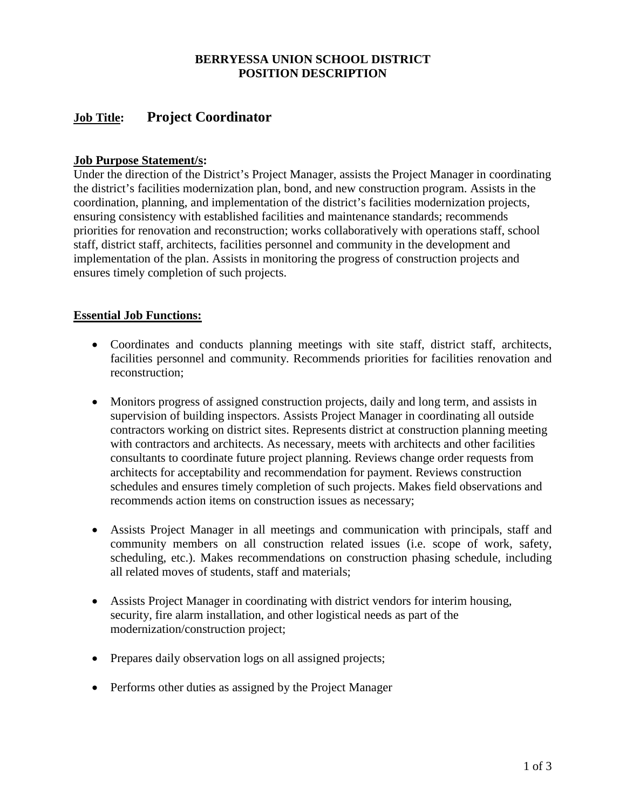# **BERRYESSA UNION SCHOOL DISTRICT POSITION DESCRIPTION**

# **Job Title: Project Coordinator**

# **Job Purpose Statement/s:**

Under the direction of the District's Project Manager, assists the Project Manager in coordinating the district's facilities modernization plan, bond, and new construction program. Assists in the coordination, planning, and implementation of the district's facilities modernization projects, ensuring consistency with established facilities and maintenance standards; recommends priorities for renovation and reconstruction; works collaboratively with operations staff, school staff, district staff, architects, facilities personnel and community in the development and implementation of the plan. Assists in monitoring the progress of construction projects and ensures timely completion of such projects.

## **Essential Job Functions:**

- Coordinates and conducts planning meetings with site staff, district staff, architects, facilities personnel and community. Recommends priorities for facilities renovation and reconstruction;
- Monitors progress of assigned construction projects, daily and long term, and assists in supervision of building inspectors. Assists Project Manager in coordinating all outside contractors working on district sites. Represents district at construction planning meeting with contractors and architects. As necessary, meets with architects and other facilities consultants to coordinate future project planning. Reviews change order requests from architects for acceptability and recommendation for payment. Reviews construction schedules and ensures timely completion of such projects. Makes field observations and recommends action items on construction issues as necessary;
- Assists Project Manager in all meetings and communication with principals, staff and community members on all construction related issues (i.e. scope of work, safety, scheduling, etc.). Makes recommendations on construction phasing schedule, including all related moves of students, staff and materials;
- Assists Project Manager in coordinating with district vendors for interim housing, security, fire alarm installation, and other logistical needs as part of the modernization/construction project;
- Prepares daily observation logs on all assigned projects;
- Performs other duties as assigned by the Project Manager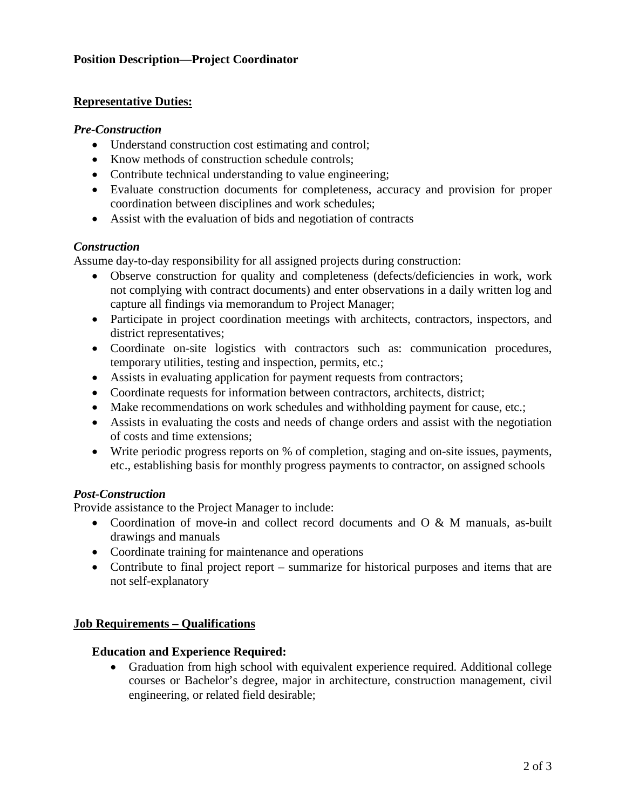## **Position Description—Project Coordinator**

#### **Representative Duties:**

#### *Pre-Construction*

- Understand construction cost estimating and control;
- Know methods of construction schedule controls:
- Contribute technical understanding to value engineering;
- Evaluate construction documents for completeness, accuracy and provision for proper coordination between disciplines and work schedules;
- Assist with the evaluation of bids and negotiation of contracts

## *Construction*

Assume day-to-day responsibility for all assigned projects during construction:

- Observe construction for quality and completeness (defects/deficiencies in work, work not complying with contract documents) and enter observations in a daily written log and capture all findings via memorandum to Project Manager;
- Participate in project coordination meetings with architects, contractors, inspectors, and district representatives;
- Coordinate on-site logistics with contractors such as: communication procedures, temporary utilities, testing and inspection, permits, etc.;
- Assists in evaluating application for payment requests from contractors;
- Coordinate requests for information between contractors, architects, district;
- Make recommendations on work schedules and withholding payment for cause, etc.;
- Assists in evaluating the costs and needs of change orders and assist with the negotiation of costs and time extensions;
- Write periodic progress reports on % of completion, staging and on-site issues, payments, etc., establishing basis for monthly progress payments to contractor, on assigned schools

## *Post-Construction*

Provide assistance to the Project Manager to include:

- Coordination of move-in and collect record documents and O & M manuals, as-built drawings and manuals
- Coordinate training for maintenance and operations
- Contribute to final project report summarize for historical purposes and items that are not self-explanatory

## **Job Requirements – Qualifications**

## **Education and Experience Required:**

• Graduation from high school with equivalent experience required. Additional college courses or Bachelor's degree, major in architecture, construction management, civil engineering, or related field desirable;